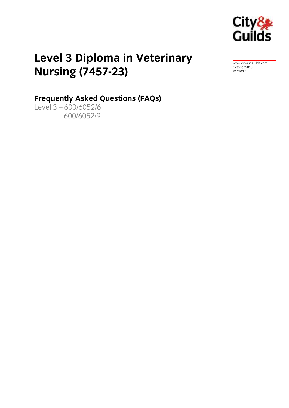

# **Level 2 Diploma in Veterinary**<br>Nursing (7457-23) **Nursing (7457-23)**

[www.cityandguilds.com](http://www.cityandguilds.com/)<br>October 2015 october 2012<br>Version 8

## **Frequently Asked Questions (FAQs)**<br>Level 3 - 600/6052/6

600/6052/9 600/6052/9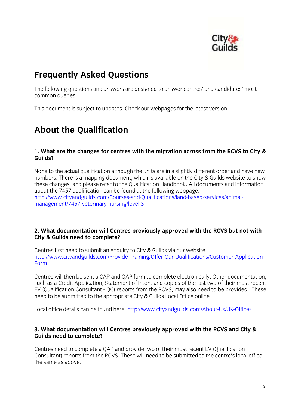

**Frequently Asked Questions**<br>The following questions and answers are designed to answer centres' and candidates' most common queries. common queries.

This document is subject to updates. Check our webpages for the latest version.

## **About the Qualification**

### **1. What are the changes for centres with the migration across from the RCVS to City & Guilds?**

None to the actual qualification although the units are in a slightly different order and have new<br>numbers. There is a mapping document, which is available on the City & Guilds website to show these changes, and please refer to the Qualification Handbook. All documents and information about the 7457 qualification can be found at the following webpage: http://www.cityandguilds.com/Courses-and-Qualifications/land-based-services/animalmanagement/7457-veterinary-nursing/level-3 management/7457-veterinary-nursing/level-3

### **2. What documentation will Centres previously approved with the RCVS but not with City & Guilds need to complete?**

[Centres first need to submit an enquiry to City](http://www.cityandguilds.com/Provide-Training/Offer-Our-Qualifications/Customer-Application-) & Guilds via our website:<br>http://www.cityandguilds.com/Provide-Training/Offer-Our-Qualifications/Customer-Applicationhttp://www.cityandguilds.com/Provide-Training/Offer-Our-Qualifications/Customer-Application-Form

Centres will then be sent a CAP and QAP form to complete electronically. Other documentation, such as a Credit Application, Statement of Intent and copies of the last two of their most recent EV (Qualification Consultant - QC) reports from the RCVS, may also need to be provided. These need to be submitted to the appropriate City & Guilds Local Office online. need to be submitted to the appropriate  $\mathcal{L}_{\text{PP}}$  and  $\mathcal{L}_{\text{PP}}$  of  $\mathcal{L}_{\text{PP}}$  on line.

Local office details can be found here: [http://www.cityandguilds.com/About-Us/UK-Offices.](http://www.cityandguilds.com/About-Us/UK-Offices)

#### **3. What documentation will Centres previously approved with the RCVS and City & Guilds need to complete?**

Centres need to complete a QAP and provide two of their most recent EV (Qualification the same as above the same as above.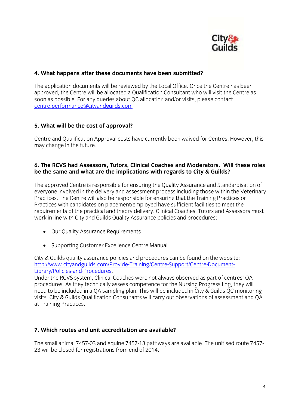

### **4. What happens after these documents have been submitted?**

The application documents will be reviewed by the Local Office. Once the Centre has been approved, the Centre will be allocated a Qualification Consultant who will visit the Centre as soon as possible. For any queries about QC allocation and/or visits, please contact centre. performance@citvandguilds.com centre.performance@cityandguilds.com

### **5. What will be the cost of approval?**

 $\sum_{i=1}^{n}$  Centre and  $\sum_{i=1}^{n}$  costs have contribution  $\sum_{i=1}^{n}$  costs have change in the future.  $\overline{a}$ 

#### **6. The RCVS had Assessors, Tutors, Clinical Coaches and Moderators. Will these roles be the same and what are the implications with regards to City & Guilds?**

The approved Centre is responsible for ensuring the Quality Assurance and Standardisation of everyone involved in the delivery and assessment process including those within the Veterinary Practices. The Centre will also be responsible for ensuring that the Training Practices or Practices with candidates on placement/employed have sufficient facilities to meet the requirements of the practical and theory delivery. Clinical Coaches, Tutors and Assessors must requirements of the product of the product  $\frac{1}{2}$  and  $\frac{1}{2}$  and  $\frac{1}{2}$  and  $\frac{1}{2}$  and  $\frac{1}{2}$  and  $\frac{1}{2}$  and  $\frac{1}{2}$  and  $\frac{1}{2}$  and  $\frac{1}{2}$  and  $\frac{1}{2}$  and  $\frac{1}{2}$  and  $\frac{1}{2}$  and  $\frac{1}{2}$  where  $\sum_{i=1}^{n}$  and  $\sum_{i=1}^{n}$  and  $\sum_{i=1}^{n}$  and  $\sum_{i=1}^{n}$  and  $\sum_{i=1}^{n}$  and  $\sum_{i=1}^{n}$  and  $\sum_{i=1}^{n}$  and  $\sum_{i=1}^{n}$  and  $\sum_{i=1}^{n}$  and  $\sum_{i=1}^{n}$  and  $\sum_{i=1}^{n}$  and  $\sum_{i=1}^{n}$  and  $\sum_{i=1}^{n}$ 

- Our Quality Assurance Requirements
- Supporting Customer Excellence Centre Manual.

City & Guilds quality assurance policies and procedures can be found on the website:<br>http://www.cityandguilds.com/Provide-Training/Centre-Support/Centre-Document-Library/Policies-and-Procedures.

Under the RCVS system, Clinical Coaches were not always observed as part of centres' QA procedures. As they technically assess competence for the Nursing Progress Log, they will need to be included in a QA sampling plan. This will be included in City & Guilds QC monitoring visits. City & Guilds Qualification Consultants will carry out observations of assessment and QA  $\alpha$  Guildis  $\alpha$  Guildis  $\alpha$  Cualification  $\alpha$  assessment and  $\alpha$ at Training Practices.

### **7. Which routes and unit accreditation are available?**

 $T_1$  and the small and  $T_2$  and  $T_3$  and  $T_4$  pathways are available. The unit  $T_1$  is the unit  $T_2$ 23 will be closed for registrations from end of 2014.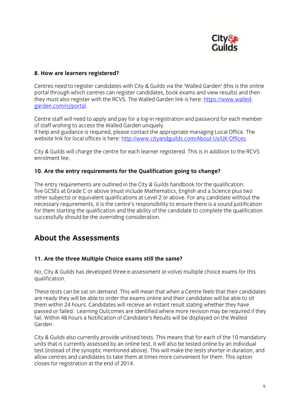

### **8. How are learners registered?**

Centres need to register candidates with City & Guilds via the 'Walled Garden' (this is the online they must also register with the RCVS. The Walled Garden link is here: https://www.walledgarden com/irj/portal.  $\frac{1}{2}$  and interesting the components of  $\frac{1}{2}$ 

Centre staff will need to apply and pay for a log-in registration and password for each member of staff wishing to access the Walled Garden uniquely.

If help and guidance is required, please contact the appropriate managing Local Office. The website link for local offices is here: http://www.cityandguilds.com/About-Us/UK-Offices. website link for local offices is here: http://www.cityandguilds.com/About-Us/UK-Offices.com/About-US/UK-Offices.com/About-US/UK-Offices.com/About-US/UK-Offices.com/About-US/UK-Offices.com/About-US/UK-Offices.com/About-US/

City & Guilds will charge the centre for each learner registered. This is in addition to the RCVS enrolment fee.

#### **10. Are the entry requirements for the Qualification going to change?**

The entry requirements are outlined in the City & Guilds handbook for the qualification:<br>five GCSEs at Grade C or above (must include Mathematics, English and a Science plus two other subjects) or equivalent qualifications at Level 2 or above. For any candidate without the necessary requirements, it is the centre's responsibility to ensure there is a sound justification for them starting the qualification and the ability of the candidate to complete the qualification successfully should be the overriding consideration. successfully showled be the overall  $\frac{1}{9}$  consideration.

#### **About the Assessments About the Assessments**

#### **11. Are the three Multiple Choice exams still the same?**

No, City & Guilds has developed three e-assessment (e-volve) multiple choice exams for this qualitation.

These tests can be sat on demand. This will mean that when a Centre feels that their candidates are ready they will be able to order the exams online and their candidates will be able to sit them within 24 hours. Candidates will receive an instant result stating whether they have passed or failed. Learning Outcomes are identified where more revision may be required if they fail. Within 48 hours a Notification of Candidate's Results will be displayed on the Walled fail. Within 48 hours a Notification of Candidate's Results will be displayed on the Walled Garden.

City & Guilds also currently provide unitised tests. This means that for each of the 10 mandatory<br>units that is currently assessed by an online test, it will also be tested online by an individual test (instead of the synoptic mentioned above). This will make the tests shorter in duration, and allow centres and candidates to take them at times more convenient for them. This option closes for registration at the end of 2014. closes for registration at the end of 2014.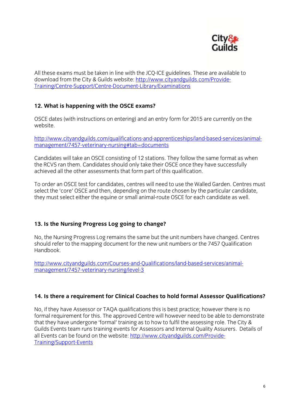

All these exams must be taken in line wit[h the JCQ-ICE guidelines. These are available to](http://www.cityandguilds.com/Provide-) download from the City & Guilds website: http://www.cityandguilds.com/Provide-Training/Centre-Support/Centre-Document-Library/Examinations Training/Centre-Support/Centre-Support/Centre-Support/Centre-Document-Library/Examinations

### **12. What is happening with the OSCE exams?**

OSCE dates (with instructions on entering) and an entry form for 2015 are currently on the website.

[http://www.cityandguilds.com/qualifications-and-apprenticeships/land-based-services/animal](http://www.cityandguilds.com/qualifications-and-apprenticeships/land-based-services/animal-)management/7457-veterinary-nursing#tab=documents-documents-documents-documents-documents-documents-

Candidates will take an OSCE consisting of 12 stations. They follow the same format as when the RCVS ran them. Candidates should only take their OSCE once they have successfully achieved all the other assessments that form part of this qualification. achieved all the other assessments that form part of this qualification.

To order an OSCE test for candidates, centres will need to use the Walled Garden. Centres must select the 'core' OSCE and then, depending on the route chosen by the particular candidate,  $\frac{1}{2}$  select either the equine or small animal-route OSCE for each candidate as well  $t_{\rm r}$  must select either the equine or small and route  $\alpha$  and  $\alpha$ 

#### **13. Is the Nursing Progress Log going to change?**

No, the Nursing Progress Log remains the same but the unit numbers have changed. Centres should refer to the mapping document for the new unit numbers or the 7457 Oualification should refer to the mapping document for the new unit numbers or the 7457 Qualification Handbook.

[http://www.cityandguilds.com/Courses-and-Qualifications/land-based-services/animal](http://www.cityandguilds.com/Courses-and-Qualifications/land-based-services/animal-)management/7457-veterinary-nursing-3557-veterinary-nursing-3557-veterinary-nursing-3557-veterinary-nursing-a-<br>September

### **14. Is there a requirement for Clinical Coaches to hold formal Assessor Qualifications?**

No, if they have Assessor or TAQA qualifications this is best practice; however there is no<br>formal requirement for this. The approved Centre will however need to be able to demonstrate that they have undergone 'formal' training as to how to fulfil the assessing role. The City & Guilds Events team runs training events for Assessors and Internal Quality Assurers. Details of all Events can be found on the website: http://www.cityandguilds.com/Provide-**Training/Support-Events** <u>Training</u>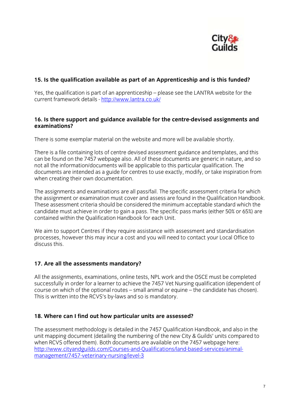

## **15. Is the qualification available as part of an Apprenticeship and is this funded?**

Yes, the qualification is par[t of an apprenticeship](http://www.lantra.co.uk/) – please see the LANTRA website for the current framework details - http://www.lantra.co.uk/ current framework details - https://www.lantra.co.uk/

### **16. Is there support and guidance available for the centre-devised assignments and examinations?**

There is some exemplar material on the website and more will be available shortly.

There is a file containing lots of centre devised assessment guidance and templates, and this can be found on the 7457 webpage also. All of these documents are generic in nature, and so not all the information/documents will be applicable to this particular qualification. The documents are intended as a guide for centres to use exactly, modify, or take inspiration from when creating their own documentation. when creating their own documentation.

The assignments and examinations are all pass/fail. The specific assessment criteria for which<br>the assignment or examination must cover and assess are found in the Qualification Handbook. These assessment criteria should be considered the minimum acceptable standard which the candidate must achieve in order to gain a pass. The specific pass marks (either 50% or 65%) are contained within the Qualification Handbook for each Unit. contained within the Qualification Handbook for each Unit.

We aim to support Centres if they require assistance with assessment and standardisation processes, however this may incur a cost and you will need to contact your Local Office to discuss this. discuss this.

## **17. Are all the assessments mandatory?**

All the assignments, examinations, online tests, NPL work and the OSCE must be completed successfully in order for a learner to achieve the 7457 Vet Nursing qualification (dependent of course on which of the optional routes – small animal or equine – the candidate has chosen). This is written into the RCVS's by-laws and so is mandatory.  $T_{\rm eff}$  is written into the RCVS's by-laws and so is mandatory.

### **18. Where can I find out how particular units are assessed?**

The assessment methodology is detailed in the 7457 Qualification Handbook, and also in the unit mapping document (detailing the numbering of the new City & Guilds' units compared to when RCVS offered them). Both documents are available on the 7457 webpage here: http://www.cityandguilds.com/Courses-and-Qualifications/land-based-services/animalmanagement/7457-veterinary-nursing/level-3 management, 747-veterinary-nursing/level-3